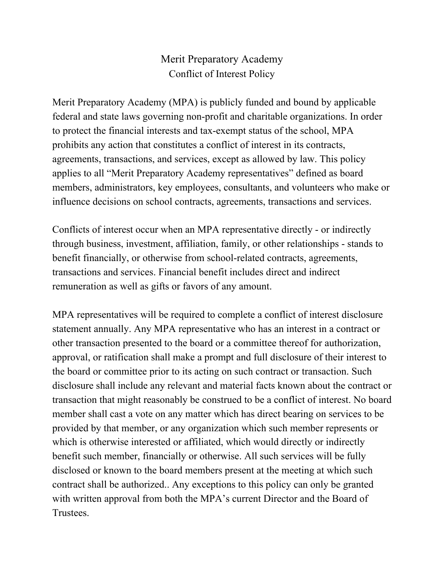## Merit Preparatory Academy Conflict of Interest Policy

Merit Preparatory Academy (MPA) is publicly funded and bound by applicable federal and state laws governing non-profit and charitable organizations. In order to protect the financial interests and tax-exempt status of the school, MPA prohibits any action that constitutes a conflict of interest in its contracts, agreements, transactions, and services, except as allowed by law. This policy applies to all "Merit Preparatory Academy representatives" defined as board members, administrators, key employees, consultants, and volunteers who make or influence decisions on school contracts, agreements, transactions and services.

Conflicts of interest occur when an MPA representative directly - or indirectly through business, investment, affiliation, family, or other relationships - stands to benefit financially, or otherwise from school-related contracts, agreements, transactions and services. Financial benefit includes direct and indirect remuneration as well as gifts or favors of any amount.

MPA representatives will be required to complete a conflict of interest disclosure statement annually. Any MPA representative who has an interest in a contract or other transaction presented to the board or a committee thereof for authorization, approval, or ratification shall make a prompt and full disclosure of their interest to the board or committee prior to its acting on such contract or transaction. Such disclosure shall include any relevant and material facts known about the contract or transaction that might reasonably be construed to be a conflict of interest. No board member shall cast a vote on any matter which has direct bearing on services to be provided by that member, or any organization which such member represents or which is otherwise interested or affiliated, which would directly or indirectly benefit such member, financially or otherwise. All such services will be fully disclosed or known to the board members present at the meeting at which such contract shall be authorized.. Any exceptions to this policy can only be granted with written approval from both the MPA's current Director and the Board of Trustees.